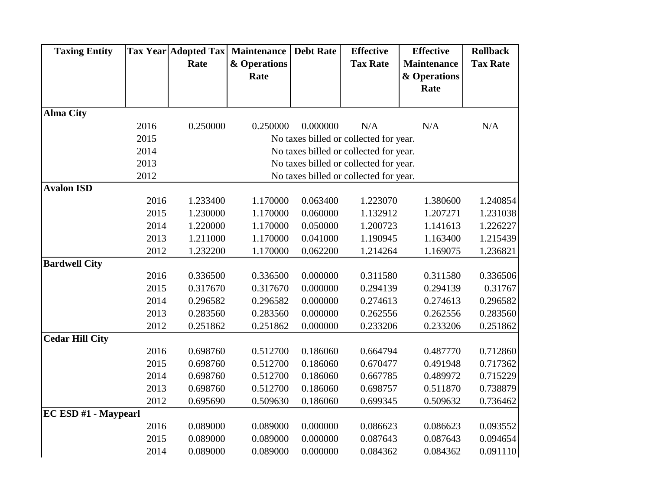| <b>Taxing Entity</b>   |      | <b>Tax Year Adopted Tax</b> | <b>Maintenance</b> | <b>Debt Rate</b> | <b>Effective</b>                       | <b>Effective</b>   | <b>Rollback</b> |
|------------------------|------|-----------------------------|--------------------|------------------|----------------------------------------|--------------------|-----------------|
|                        |      | Rate                        | & Operations       |                  | <b>Tax Rate</b>                        | <b>Maintenance</b> | <b>Tax Rate</b> |
|                        |      |                             | Rate               |                  |                                        | & Operations       |                 |
|                        |      |                             |                    |                  |                                        | Rate               |                 |
|                        |      |                             |                    |                  |                                        |                    |                 |
| <b>Alma City</b>       |      |                             |                    |                  |                                        |                    |                 |
|                        | 2016 | 0.250000                    | 0.250000           | 0.000000         | N/A                                    | N/A                | N/A             |
|                        | 2015 |                             |                    |                  | No taxes billed or collected for year. |                    |                 |
|                        | 2014 |                             |                    |                  | No taxes billed or collected for year. |                    |                 |
|                        | 2013 |                             |                    |                  | No taxes billed or collected for year. |                    |                 |
|                        | 2012 |                             |                    |                  | No taxes billed or collected for year. |                    |                 |
| <b>Avalon ISD</b>      |      |                             |                    |                  |                                        |                    |                 |
|                        | 2016 | 1.233400                    | 1.170000           | 0.063400         | 1.223070                               | 1.380600           | 1.240854        |
|                        | 2015 | 1.230000                    | 1.170000           | 0.060000         | 1.132912                               | 1.207271           | 1.231038        |
|                        | 2014 | 1.220000                    | 1.170000           | 0.050000         | 1.200723                               | 1.141613           | 1.226227        |
|                        | 2013 | 1.211000                    | 1.170000           | 0.041000         | 1.190945                               | 1.163400           | 1.215439        |
|                        | 2012 | 1.232200                    | 1.170000           | 0.062200         | 1.214264                               | 1.169075           | 1.236821        |
| <b>Bardwell City</b>   |      |                             |                    |                  |                                        |                    |                 |
|                        | 2016 | 0.336500                    | 0.336500           | 0.000000         | 0.311580                               | 0.311580           | 0.336506        |
|                        | 2015 | 0.317670                    | 0.317670           | 0.000000         | 0.294139                               | 0.294139           | 0.31767         |
|                        | 2014 | 0.296582                    | 0.296582           | 0.000000         | 0.274613                               | 0.274613           | 0.296582        |
|                        | 2013 | 0.283560                    | 0.283560           | 0.000000         | 0.262556                               | 0.262556           | 0.283560        |
|                        | 2012 | 0.251862                    | 0.251862           | 0.000000         | 0.233206                               | 0.233206           | 0.251862        |
| <b>Cedar Hill City</b> |      |                             |                    |                  |                                        |                    |                 |
|                        | 2016 | 0.698760                    | 0.512700           | 0.186060         | 0.664794                               | 0.487770           | 0.712860        |
|                        | 2015 | 0.698760                    | 0.512700           | 0.186060         | 0.670477                               | 0.491948           | 0.717362        |
|                        | 2014 | 0.698760                    | 0.512700           | 0.186060         | 0.667785                               | 0.489972           | 0.715229        |
|                        | 2013 | 0.698760                    | 0.512700           | 0.186060         | 0.698757                               | 0.511870           | 0.738879        |
|                        | 2012 | 0.695690                    | 0.509630           | 0.186060         | 0.699345                               | 0.509632           | 0.736462        |
| EC ESD #1 - Maypearl   |      |                             |                    |                  |                                        |                    |                 |
|                        | 2016 | 0.089000                    | 0.089000           | 0.000000         | 0.086623                               | 0.086623           | 0.093552        |
|                        | 2015 | 0.089000                    | 0.089000           | 0.000000         | 0.087643                               | 0.087643           | 0.094654        |
|                        | 2014 | 0.089000                    | 0.089000           | 0.000000         | 0.084362                               | 0.084362           | 0.091110        |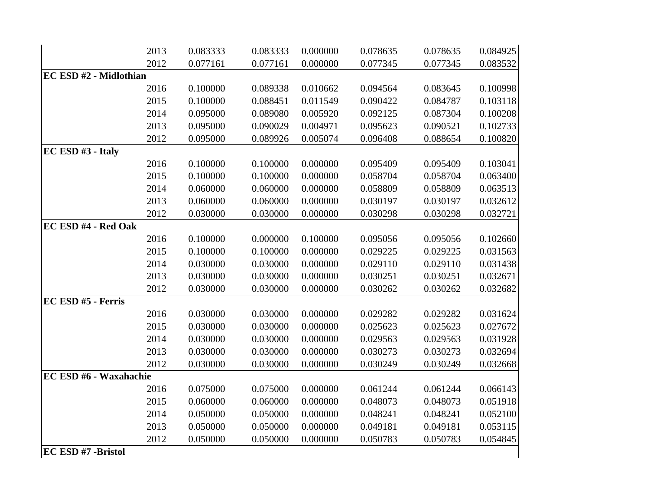|                        | 2013 | 0.083333 | 0.083333 | 0.000000 | 0.078635 | 0.078635 | 0.084925 |
|------------------------|------|----------|----------|----------|----------|----------|----------|
|                        | 2012 | 0.077161 | 0.077161 | 0.000000 | 0.077345 | 0.077345 | 0.083532 |
| EC ESD #2 - Midlothian |      |          |          |          |          |          |          |
|                        | 2016 | 0.100000 | 0.089338 | 0.010662 | 0.094564 | 0.083645 | 0.100998 |
|                        | 2015 | 0.100000 | 0.088451 | 0.011549 | 0.090422 | 0.084787 | 0.103118 |
|                        | 2014 | 0.095000 | 0.089080 | 0.005920 | 0.092125 | 0.087304 | 0.100208 |
|                        | 2013 | 0.095000 | 0.090029 | 0.004971 | 0.095623 | 0.090521 | 0.102733 |
|                        | 2012 | 0.095000 | 0.089926 | 0.005074 | 0.096408 | 0.088654 | 0.100820 |
| EC ESD #3 - Italy      |      |          |          |          |          |          |          |
|                        | 2016 | 0.100000 | 0.100000 | 0.000000 | 0.095409 | 0.095409 | 0.103041 |
|                        | 2015 | 0.100000 | 0.100000 | 0.000000 | 0.058704 | 0.058704 | 0.063400 |
|                        | 2014 | 0.060000 | 0.060000 | 0.000000 | 0.058809 | 0.058809 | 0.063513 |
|                        | 2013 | 0.060000 | 0.060000 | 0.000000 | 0.030197 | 0.030197 | 0.032612 |
|                        | 2012 | 0.030000 | 0.030000 | 0.000000 | 0.030298 | 0.030298 | 0.032721 |
| EC ESD #4 - Red Oak    |      |          |          |          |          |          |          |
|                        | 2016 | 0.100000 | 0.000000 | 0.100000 | 0.095056 | 0.095056 | 0.102660 |
|                        | 2015 | 0.100000 | 0.100000 | 0.000000 | 0.029225 | 0.029225 | 0.031563 |
|                        | 2014 | 0.030000 | 0.030000 | 0.000000 | 0.029110 | 0.029110 | 0.031438 |
|                        | 2013 | 0.030000 | 0.030000 | 0.000000 | 0.030251 | 0.030251 | 0.032671 |
|                        | 2012 | 0.030000 | 0.030000 | 0.000000 | 0.030262 | 0.030262 | 0.032682 |
| EC ESD #5 - Ferris     |      |          |          |          |          |          |          |
|                        | 2016 | 0.030000 | 0.030000 | 0.000000 | 0.029282 | 0.029282 | 0.031624 |
|                        | 2015 | 0.030000 | 0.030000 | 0.000000 | 0.025623 | 0.025623 | 0.027672 |
|                        | 2014 | 0.030000 | 0.030000 | 0.000000 | 0.029563 | 0.029563 | 0.031928 |
|                        | 2013 | 0.030000 | 0.030000 | 0.000000 | 0.030273 | 0.030273 | 0.032694 |
|                        | 2012 | 0.030000 | 0.030000 | 0.000000 | 0.030249 | 0.030249 | 0.032668 |
| EC ESD #6 - Waxahachie |      |          |          |          |          |          |          |
|                        | 2016 | 0.075000 | 0.075000 | 0.000000 | 0.061244 | 0.061244 | 0.066143 |
|                        | 2015 | 0.060000 | 0.060000 | 0.000000 | 0.048073 | 0.048073 | 0.051918 |
|                        | 2014 | 0.050000 | 0.050000 | 0.000000 | 0.048241 | 0.048241 | 0.052100 |
|                        | 2013 | 0.050000 | 0.050000 | 0.000000 | 0.049181 | 0.049181 | 0.053115 |
|                        | 2012 | 0.050000 | 0.050000 | 0.000000 | 0.050783 | 0.050783 | 0.054845 |
| EC ESD #7 -Bristol     |      |          |          |          |          |          |          |
|                        |      |          |          |          |          |          |          |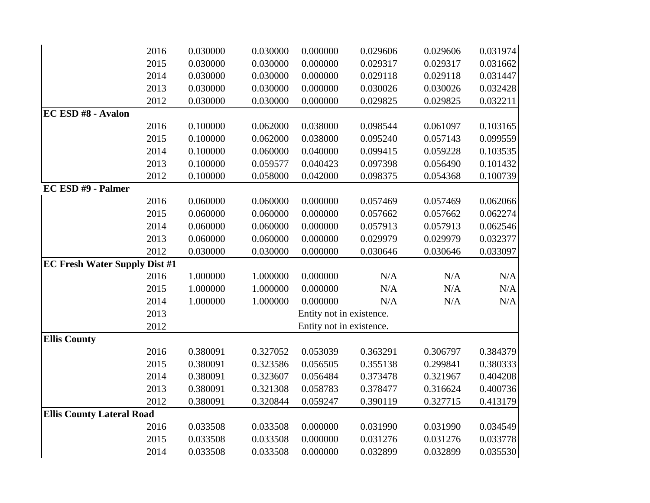|                                      | 2016 | 0.030000 | 0.030000 | 0.000000                 | 0.029606 | 0.029606 | 0.031974 |
|--------------------------------------|------|----------|----------|--------------------------|----------|----------|----------|
|                                      | 2015 | 0.030000 | 0.030000 | 0.000000                 | 0.029317 | 0.029317 | 0.031662 |
|                                      | 2014 | 0.030000 | 0.030000 | 0.000000                 | 0.029118 | 0.029118 | 0.031447 |
|                                      | 2013 | 0.030000 | 0.030000 | 0.000000                 | 0.030026 | 0.030026 | 0.032428 |
|                                      | 2012 | 0.030000 | 0.030000 | 0.000000                 | 0.029825 | 0.029825 | 0.032211 |
| <b>EC ESD #8 - Avalon</b>            |      |          |          |                          |          |          |          |
|                                      | 2016 | 0.100000 | 0.062000 | 0.038000                 | 0.098544 | 0.061097 | 0.103165 |
|                                      | 2015 | 0.100000 | 0.062000 | 0.038000                 | 0.095240 | 0.057143 | 0.099559 |
|                                      | 2014 | 0.100000 | 0.060000 | 0.040000                 | 0.099415 | 0.059228 | 0.103535 |
|                                      | 2013 | 0.100000 | 0.059577 | 0.040423                 | 0.097398 | 0.056490 | 0.101432 |
|                                      | 2012 | 0.100000 | 0.058000 | 0.042000                 | 0.098375 | 0.054368 | 0.100739 |
| EC ESD #9 - Palmer                   |      |          |          |                          |          |          |          |
|                                      | 2016 | 0.060000 | 0.060000 | 0.000000                 | 0.057469 | 0.057469 | 0.062066 |
|                                      | 2015 | 0.060000 | 0.060000 | 0.000000                 | 0.057662 | 0.057662 | 0.062274 |
|                                      | 2014 | 0.060000 | 0.060000 | 0.000000                 | 0.057913 | 0.057913 | 0.062546 |
|                                      | 2013 | 0.060000 | 0.060000 | 0.000000                 | 0.029979 | 0.029979 | 0.032377 |
|                                      | 2012 | 0.030000 | 0.030000 | 0.000000                 | 0.030646 | 0.030646 | 0.033097 |
| <b>EC Fresh Water Supply Dist #1</b> |      |          |          |                          |          |          |          |
|                                      | 2016 | 1.000000 | 1.000000 | 0.000000                 | N/A      | N/A      | N/A      |
|                                      | 2015 | 1.000000 | 1.000000 | 0.000000                 | N/A      | N/A      | N/A      |
|                                      | 2014 | 1.000000 | 1.000000 | 0.000000                 | N/A      | N/A      | N/A      |
|                                      | 2013 |          |          | Entity not in existence. |          |          |          |
|                                      | 2012 |          |          | Entity not in existence. |          |          |          |
| <b>Ellis County</b>                  |      |          |          |                          |          |          |          |
|                                      | 2016 | 0.380091 | 0.327052 | 0.053039                 | 0.363291 | 0.306797 | 0.384379 |
|                                      | 2015 | 0.380091 | 0.323586 | 0.056505                 | 0.355138 | 0.299841 | 0.380333 |
|                                      | 2014 | 0.380091 | 0.323607 | 0.056484                 | 0.373478 | 0.321967 | 0.404208 |
|                                      | 2013 | 0.380091 | 0.321308 | 0.058783                 | 0.378477 | 0.316624 | 0.400736 |
|                                      | 2012 | 0.380091 | 0.320844 | 0.059247                 | 0.390119 | 0.327715 | 0.413179 |
| <b>Ellis County Lateral Road</b>     |      |          |          |                          |          |          |          |
|                                      | 2016 | 0.033508 | 0.033508 | 0.000000                 | 0.031990 | 0.031990 | 0.034549 |
|                                      | 2015 | 0.033508 | 0.033508 | 0.000000                 | 0.031276 | 0.031276 | 0.033778 |
|                                      | 2014 | 0.033508 | 0.033508 | 0.000000                 | 0.032899 | 0.032899 | 0.035530 |
|                                      |      |          |          |                          |          |          |          |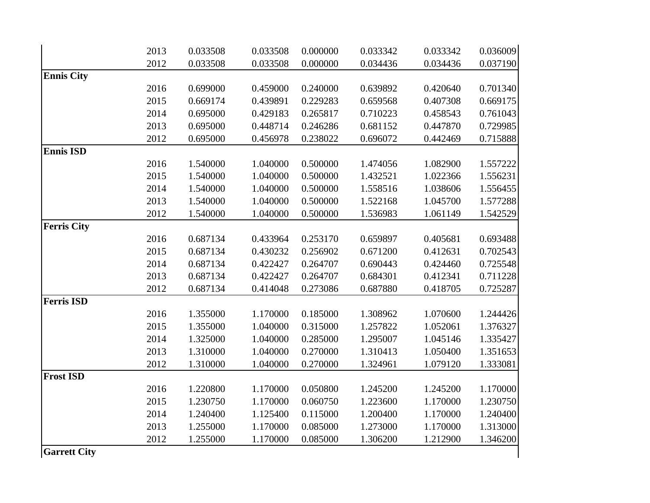|                    | 2013 | 0.033508 | 0.033508 | 0.000000 | 0.033342 | 0.033342 | 0.036009 |
|--------------------|------|----------|----------|----------|----------|----------|----------|
|                    | 2012 | 0.033508 | 0.033508 | 0.000000 | 0.034436 | 0.034436 | 0.037190 |
| <b>Ennis City</b>  |      |          |          |          |          |          |          |
|                    | 2016 | 0.699000 | 0.459000 | 0.240000 | 0.639892 | 0.420640 | 0.701340 |
|                    | 2015 | 0.669174 | 0.439891 | 0.229283 | 0.659568 | 0.407308 | 0.669175 |
|                    | 2014 | 0.695000 | 0.429183 | 0.265817 | 0.710223 | 0.458543 | 0.761043 |
|                    | 2013 | 0.695000 | 0.448714 | 0.246286 | 0.681152 | 0.447870 | 0.729985 |
|                    | 2012 | 0.695000 | 0.456978 | 0.238022 | 0.696072 | 0.442469 | 0.715888 |
| <b>Ennis ISD</b>   |      |          |          |          |          |          |          |
|                    | 2016 | 1.540000 | 1.040000 | 0.500000 | 1.474056 | 1.082900 | 1.557222 |
|                    | 2015 | 1.540000 | 1.040000 | 0.500000 | 1.432521 | 1.022366 | 1.556231 |
|                    | 2014 | 1.540000 | 1.040000 | 0.500000 | 1.558516 | 1.038606 | 1.556455 |
|                    | 2013 | 1.540000 | 1.040000 | 0.500000 | 1.522168 | 1.045700 | 1.577288 |
|                    | 2012 | 1.540000 | 1.040000 | 0.500000 | 1.536983 | 1.061149 | 1.542529 |
| <b>Ferris City</b> |      |          |          |          |          |          |          |
|                    | 2016 | 0.687134 | 0.433964 | 0.253170 | 0.659897 | 0.405681 | 0.693488 |
|                    | 2015 | 0.687134 | 0.430232 | 0.256902 | 0.671200 | 0.412631 | 0.702543 |
|                    | 2014 | 0.687134 | 0.422427 | 0.264707 | 0.690443 | 0.424460 | 0.725548 |
|                    | 2013 | 0.687134 | 0.422427 | 0.264707 | 0.684301 | 0.412341 | 0.711228 |
|                    | 2012 | 0.687134 | 0.414048 | 0.273086 | 0.687880 | 0.418705 | 0.725287 |
| <b>Ferris ISD</b>  |      |          |          |          |          |          |          |
|                    | 2016 | 1.355000 | 1.170000 | 0.185000 | 1.308962 | 1.070600 | 1.244426 |
|                    | 2015 | 1.355000 | 1.040000 | 0.315000 | 1.257822 | 1.052061 | 1.376327 |
|                    | 2014 | 1.325000 | 1.040000 | 0.285000 | 1.295007 | 1.045146 | 1.335427 |
|                    | 2013 | 1.310000 | 1.040000 | 0.270000 | 1.310413 | 1.050400 | 1.351653 |
|                    | 2012 | 1.310000 | 1.040000 | 0.270000 | 1.324961 | 1.079120 | 1.333081 |
| <b>Frost ISD</b>   |      |          |          |          |          |          |          |
|                    | 2016 | 1.220800 | 1.170000 | 0.050800 | 1.245200 | 1.245200 | 1.170000 |
|                    | 2015 | 1.230750 | 1.170000 | 0.060750 | 1.223600 | 1.170000 | 1.230750 |
|                    | 2014 | 1.240400 | 1.125400 | 0.115000 | 1.200400 | 1.170000 | 1.240400 |
|                    | 2013 | 1.255000 | 1.170000 | 0.085000 | 1.273000 | 1.170000 | 1.313000 |
|                    | 2012 | 1.255000 | 1.170000 | 0.085000 | 1.306200 | 1.212900 | 1.346200 |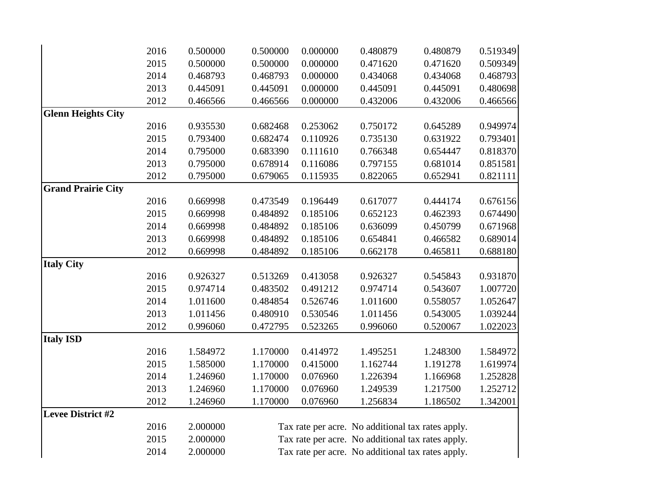|                           | 2016 | 0.500000 | 0.500000 | 0.000000 | 0.480879 | 0.480879                                          | 0.519349 |
|---------------------------|------|----------|----------|----------|----------|---------------------------------------------------|----------|
|                           | 2015 | 0.500000 | 0.500000 | 0.000000 | 0.471620 | 0.471620                                          | 0.509349 |
|                           | 2014 | 0.468793 | 0.468793 | 0.000000 | 0.434068 | 0.434068                                          | 0.468793 |
|                           | 2013 | 0.445091 | 0.445091 | 0.000000 | 0.445091 | 0.445091                                          | 0.480698 |
|                           | 2012 | 0.466566 | 0.466566 | 0.000000 | 0.432006 | 0.432006                                          | 0.466566 |
| <b>Glenn Heights City</b> |      |          |          |          |          |                                                   |          |
|                           | 2016 | 0.935530 | 0.682468 | 0.253062 | 0.750172 | 0.645289                                          | 0.949974 |
|                           | 2015 | 0.793400 | 0.682474 | 0.110926 | 0.735130 | 0.631922                                          | 0.793401 |
|                           | 2014 | 0.795000 | 0.683390 | 0.111610 | 0.766348 | 0.654447                                          | 0.818370 |
|                           | 2013 | 0.795000 | 0.678914 | 0.116086 | 0.797155 | 0.681014                                          | 0.851581 |
|                           | 2012 | 0.795000 | 0.679065 | 0.115935 | 0.822065 | 0.652941                                          | 0.821111 |
| <b>Grand Prairie City</b> |      |          |          |          |          |                                                   |          |
|                           | 2016 | 0.669998 | 0.473549 | 0.196449 | 0.617077 | 0.444174                                          | 0.676156 |
|                           | 2015 | 0.669998 | 0.484892 | 0.185106 | 0.652123 | 0.462393                                          | 0.674490 |
|                           | 2014 | 0.669998 | 0.484892 | 0.185106 | 0.636099 | 0.450799                                          | 0.671968 |
|                           | 2013 | 0.669998 | 0.484892 | 0.185106 | 0.654841 | 0.466582                                          | 0.689014 |
|                           | 2012 | 0.669998 | 0.484892 | 0.185106 | 0.662178 | 0.465811                                          | 0.688180 |
| <b>Italy City</b>         |      |          |          |          |          |                                                   |          |
|                           | 2016 | 0.926327 | 0.513269 | 0.413058 | 0.926327 | 0.545843                                          | 0.931870 |
|                           | 2015 | 0.974714 | 0.483502 | 0.491212 | 0.974714 | 0.543607                                          | 1.007720 |
|                           | 2014 | 1.011600 | 0.484854 | 0.526746 | 1.011600 | 0.558057                                          | 1.052647 |
|                           | 2013 | 1.011456 | 0.480910 | 0.530546 | 1.011456 | 0.543005                                          | 1.039244 |
|                           | 2012 | 0.996060 | 0.472795 | 0.523265 | 0.996060 | 0.520067                                          | 1.022023 |
| <b>Italy ISD</b>          |      |          |          |          |          |                                                   |          |
|                           | 2016 | 1.584972 | 1.170000 | 0.414972 | 1.495251 | 1.248300                                          | 1.584972 |
|                           | 2015 | 1.585000 | 1.170000 | 0.415000 | 1.162744 | 1.191278                                          | 1.619974 |
|                           | 2014 | 1.246960 | 1.170000 | 0.076960 | 1.226394 | 1.166968                                          | 1.252828 |
|                           | 2013 | 1.246960 | 1.170000 | 0.076960 | 1.249539 | 1.217500                                          | 1.252712 |
|                           | 2012 | 1.246960 | 1.170000 | 0.076960 | 1.256834 | 1.186502                                          | 1.342001 |
| <b>Levee District #2</b>  |      |          |          |          |          |                                                   |          |
|                           | 2016 | 2.000000 |          |          |          | Tax rate per acre. No additional tax rates apply. |          |
|                           | 2015 | 2.000000 |          |          |          | Tax rate per acre. No additional tax rates apply. |          |
|                           | 2014 | 2.000000 |          |          |          | Tax rate per acre. No additional tax rates apply. |          |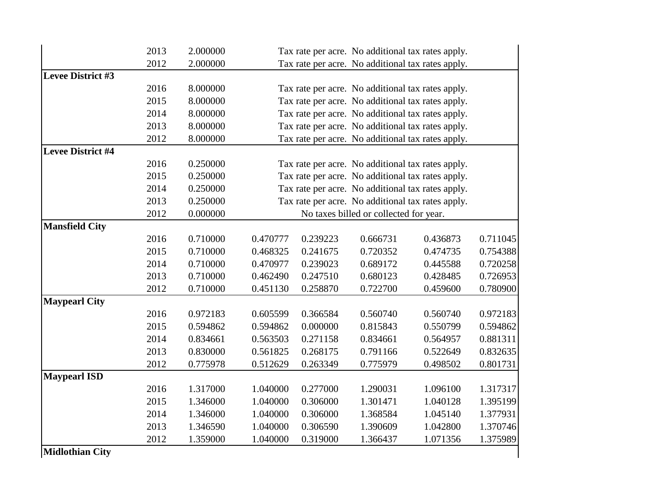| 2013 | 2.000000                                     |                                                                                              |                                  |                      |                      |                                                                                                                                                                                                                                                                                                                                                                                                                                                                                                                                                                                                                                                                                                                                   |
|------|----------------------------------------------|----------------------------------------------------------------------------------------------|----------------------------------|----------------------|----------------------|-----------------------------------------------------------------------------------------------------------------------------------------------------------------------------------------------------------------------------------------------------------------------------------------------------------------------------------------------------------------------------------------------------------------------------------------------------------------------------------------------------------------------------------------------------------------------------------------------------------------------------------------------------------------------------------------------------------------------------------|
| 2012 | 2.000000                                     |                                                                                              |                                  |                      |                      |                                                                                                                                                                                                                                                                                                                                                                                                                                                                                                                                                                                                                                                                                                                                   |
|      |                                              |                                                                                              |                                  |                      |                      |                                                                                                                                                                                                                                                                                                                                                                                                                                                                                                                                                                                                                                                                                                                                   |
| 2016 | 8.000000                                     |                                                                                              |                                  |                      |                      |                                                                                                                                                                                                                                                                                                                                                                                                                                                                                                                                                                                                                                                                                                                                   |
| 2015 |                                              |                                                                                              |                                  |                      |                      |                                                                                                                                                                                                                                                                                                                                                                                                                                                                                                                                                                                                                                                                                                                                   |
| 2014 | 8.000000                                     |                                                                                              |                                  |                      |                      |                                                                                                                                                                                                                                                                                                                                                                                                                                                                                                                                                                                                                                                                                                                                   |
| 2013 | 8.000000                                     |                                                                                              |                                  |                      |                      |                                                                                                                                                                                                                                                                                                                                                                                                                                                                                                                                                                                                                                                                                                                                   |
|      |                                              |                                                                                              |                                  |                      |                      |                                                                                                                                                                                                                                                                                                                                                                                                                                                                                                                                                                                                                                                                                                                                   |
|      |                                              |                                                                                              |                                  |                      |                      |                                                                                                                                                                                                                                                                                                                                                                                                                                                                                                                                                                                                                                                                                                                                   |
| 2016 | 0.250000                                     |                                                                                              |                                  |                      |                      |                                                                                                                                                                                                                                                                                                                                                                                                                                                                                                                                                                                                                                                                                                                                   |
| 2015 |                                              |                                                                                              |                                  |                      |                      |                                                                                                                                                                                                                                                                                                                                                                                                                                                                                                                                                                                                                                                                                                                                   |
|      |                                              |                                                                                              |                                  |                      |                      |                                                                                                                                                                                                                                                                                                                                                                                                                                                                                                                                                                                                                                                                                                                                   |
| 2013 |                                              |                                                                                              |                                  |                      |                      |                                                                                                                                                                                                                                                                                                                                                                                                                                                                                                                                                                                                                                                                                                                                   |
|      |                                              |                                                                                              |                                  |                      |                      |                                                                                                                                                                                                                                                                                                                                                                                                                                                                                                                                                                                                                                                                                                                                   |
|      |                                              |                                                                                              |                                  |                      |                      |                                                                                                                                                                                                                                                                                                                                                                                                                                                                                                                                                                                                                                                                                                                                   |
|      |                                              |                                                                                              |                                  |                      |                      | 0.711045                                                                                                                                                                                                                                                                                                                                                                                                                                                                                                                                                                                                                                                                                                                          |
| 2015 |                                              | 0.468325                                                                                     |                                  |                      | 0.474735             | 0.754388                                                                                                                                                                                                                                                                                                                                                                                                                                                                                                                                                                                                                                                                                                                          |
| 2014 | 0.710000                                     | 0.470977                                                                                     | 0.239023                         | 0.689172             | 0.445588             | 0.720258                                                                                                                                                                                                                                                                                                                                                                                                                                                                                                                                                                                                                                                                                                                          |
|      | 0.710000                                     |                                                                                              | 0.247510                         | 0.680123             | 0.428485             | 0.726953                                                                                                                                                                                                                                                                                                                                                                                                                                                                                                                                                                                                                                                                                                                          |
|      | 0.710000                                     |                                                                                              | 0.258870                         | 0.722700             |                      | 0.780900                                                                                                                                                                                                                                                                                                                                                                                                                                                                                                                                                                                                                                                                                                                          |
|      |                                              |                                                                                              |                                  |                      |                      |                                                                                                                                                                                                                                                                                                                                                                                                                                                                                                                                                                                                                                                                                                                                   |
| 2016 | 0.972183                                     | 0.605599                                                                                     | 0.366584                         | 0.560740             | 0.560740             | 0.972183                                                                                                                                                                                                                                                                                                                                                                                                                                                                                                                                                                                                                                                                                                                          |
| 2015 | 0.594862                                     | 0.594862                                                                                     | 0.000000                         | 0.815843             | 0.550799             | 0.594862                                                                                                                                                                                                                                                                                                                                                                                                                                                                                                                                                                                                                                                                                                                          |
| 2014 | 0.834661                                     | 0.563503                                                                                     | 0.271158                         | 0.834661             | 0.564957             | 0.881311                                                                                                                                                                                                                                                                                                                                                                                                                                                                                                                                                                                                                                                                                                                          |
| 2013 | 0.830000                                     | 0.561825                                                                                     | 0.268175                         | 0.791166             | 0.522649             | 0.832635                                                                                                                                                                                                                                                                                                                                                                                                                                                                                                                                                                                                                                                                                                                          |
| 2012 | 0.775978                                     | 0.512629                                                                                     | 0.263349                         | 0.775979             | 0.498502             | 0.801731                                                                                                                                                                                                                                                                                                                                                                                                                                                                                                                                                                                                                                                                                                                          |
|      |                                              |                                                                                              |                                  |                      |                      |                                                                                                                                                                                                                                                                                                                                                                                                                                                                                                                                                                                                                                                                                                                                   |
| 2016 | 1.317000                                     | 1.040000                                                                                     | 0.277000                         | 1.290031             | 1.096100             | 1.317317                                                                                                                                                                                                                                                                                                                                                                                                                                                                                                                                                                                                                                                                                                                          |
| 2015 | 1.346000                                     | 1.040000                                                                                     | 0.306000                         | 1.301471             | 1.040128             | 1.395199                                                                                                                                                                                                                                                                                                                                                                                                                                                                                                                                                                                                                                                                                                                          |
| 2014 | 1.346000                                     | 1.040000                                                                                     | 0.306000                         | 1.368584             | 1.045140             | 1.377931                                                                                                                                                                                                                                                                                                                                                                                                                                                                                                                                                                                                                                                                                                                          |
|      |                                              |                                                                                              |                                  |                      |                      | 1.370746                                                                                                                                                                                                                                                                                                                                                                                                                                                                                                                                                                                                                                                                                                                          |
| 2013 |                                              |                                                                                              |                                  |                      |                      |                                                                                                                                                                                                                                                                                                                                                                                                                                                                                                                                                                                                                                                                                                                                   |
| 2012 | 1.359000                                     | 1.040000                                                                                     | 0.319000                         | 1.366437             | 1.071356             | 1.375989                                                                                                                                                                                                                                                                                                                                                                                                                                                                                                                                                                                                                                                                                                                          |
|      | 2012<br>2014<br>2012<br>2016<br>2013<br>2012 | 8.000000<br>8.000000<br>0.250000<br>0.250000<br>0.250000<br>0.000000<br>0.710000<br>0.710000 | 0.470777<br>0.462490<br>0.451130 | 0.239223<br>0.241675 | 0.666731<br>0.720352 | Tax rate per acre. No additional tax rates apply.<br>Tax rate per acre. No additional tax rates apply.<br>Tax rate per acre. No additional tax rates apply.<br>Tax rate per acre. No additional tax rates apply.<br>Tax rate per acre. No additional tax rates apply.<br>Tax rate per acre. No additional tax rates apply.<br>Tax rate per acre. No additional tax rates apply.<br>Tax rate per acre. No additional tax rates apply.<br>Tax rate per acre. No additional tax rates apply.<br>Tax rate per acre. No additional tax rates apply.<br>Tax rate per acre. No additional tax rates apply.<br>No taxes billed or collected for year.<br>0.436873<br>0.459600<br>1.040000<br>1.042800<br>1.346590<br>0.306590<br>1.390609 |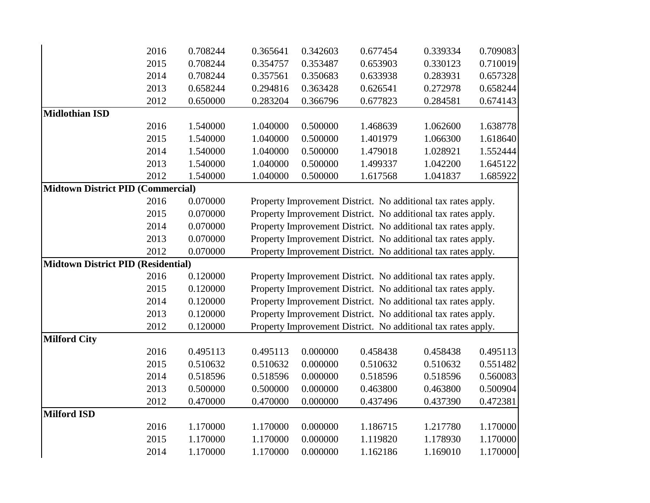|                                           | 2016 | 0.708244 | 0.365641 | 0.342603 | 0.677454                                                      | 0.339334 | 0.709083 |
|-------------------------------------------|------|----------|----------|----------|---------------------------------------------------------------|----------|----------|
|                                           | 2015 | 0.708244 | 0.354757 | 0.353487 | 0.653903                                                      | 0.330123 | 0.710019 |
|                                           | 2014 | 0.708244 | 0.357561 | 0.350683 | 0.633938                                                      | 0.283931 | 0.657328 |
|                                           | 2013 | 0.658244 | 0.294816 | 0.363428 | 0.626541                                                      | 0.272978 | 0.658244 |
|                                           | 2012 | 0.650000 | 0.283204 | 0.366796 | 0.677823                                                      | 0.284581 | 0.674143 |
| <b>Midlothian ISD</b>                     |      |          |          |          |                                                               |          |          |
|                                           | 2016 | 1.540000 | 1.040000 | 0.500000 | 1.468639                                                      | 1.062600 | 1.638778 |
|                                           | 2015 | 1.540000 | 1.040000 | 0.500000 | 1.401979                                                      | 1.066300 | 1.618640 |
|                                           | 2014 | 1.540000 | 1.040000 | 0.500000 | 1.479018                                                      | 1.028921 | 1.552444 |
|                                           | 2013 | 1.540000 | 1.040000 | 0.500000 | 1.499337                                                      | 1.042200 | 1.645122 |
|                                           | 2012 | 1.540000 | 1.040000 | 0.500000 | 1.617568                                                      | 1.041837 | 1.685922 |
| <b>Midtown District PID (Commercial)</b>  |      |          |          |          |                                                               |          |          |
|                                           | 2016 | 0.070000 |          |          | Property Improvement District. No additional tax rates apply. |          |          |
|                                           | 2015 | 0.070000 |          |          | Property Improvement District. No additional tax rates apply. |          |          |
|                                           | 2014 | 0.070000 |          |          | Property Improvement District. No additional tax rates apply. |          |          |
|                                           | 2013 | 0.070000 |          |          | Property Improvement District. No additional tax rates apply. |          |          |
|                                           | 2012 | 0.070000 |          |          | Property Improvement District. No additional tax rates apply. |          |          |
| <b>Midtown District PID (Residential)</b> |      |          |          |          |                                                               |          |          |
|                                           | 2016 | 0.120000 |          |          | Property Improvement District. No additional tax rates apply. |          |          |
|                                           | 2015 | 0.120000 |          |          | Property Improvement District. No additional tax rates apply. |          |          |
|                                           | 2014 | 0.120000 |          |          | Property Improvement District. No additional tax rates apply. |          |          |
|                                           | 2013 | 0.120000 |          |          | Property Improvement District. No additional tax rates apply. |          |          |
|                                           | 2012 | 0.120000 |          |          | Property Improvement District. No additional tax rates apply. |          |          |
| <b>Milford City</b>                       |      |          |          |          |                                                               |          |          |
|                                           | 2016 | 0.495113 | 0.495113 | 0.000000 | 0.458438                                                      | 0.458438 | 0.495113 |
|                                           | 2015 | 0.510632 | 0.510632 | 0.000000 | 0.510632                                                      | 0.510632 | 0.551482 |
|                                           | 2014 | 0.518596 | 0.518596 | 0.000000 | 0.518596                                                      | 0.518596 | 0.560083 |
|                                           | 2013 | 0.500000 | 0.500000 | 0.000000 | 0.463800                                                      | 0.463800 | 0.500904 |
|                                           | 2012 | 0.470000 | 0.470000 | 0.000000 | 0.437496                                                      | 0.437390 | 0.472381 |
| <b>Milford ISD</b>                        |      |          |          |          |                                                               |          |          |
|                                           | 2016 | 1.170000 | 1.170000 | 0.000000 | 1.186715                                                      | 1.217780 | 1.170000 |
|                                           | 2015 | 1.170000 | 1.170000 | 0.000000 | 1.119820                                                      | 1.178930 | 1.170000 |
|                                           | 2014 | 1.170000 | 1.170000 | 0.000000 | 1.162186                                                      | 1.169010 | 1.170000 |
|                                           |      |          |          |          |                                                               |          |          |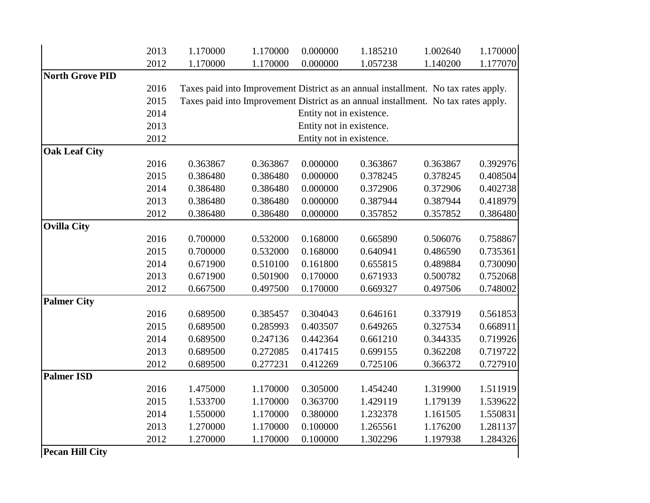|                        | 2013 | 1.170000 | 1.170000 | 0.000000                 | 1.185210                                                                           | 1.002640 | 1.170000 |
|------------------------|------|----------|----------|--------------------------|------------------------------------------------------------------------------------|----------|----------|
|                        | 2012 | 1.170000 | 1.170000 | 0.000000                 | 1.057238                                                                           | 1.140200 | 1.177070 |
| <b>North Grove PID</b> |      |          |          |                          |                                                                                    |          |          |
|                        | 2016 |          |          |                          | Taxes paid into Improvement District as an annual installment. No tax rates apply. |          |          |
|                        | 2015 |          |          |                          | Taxes paid into Improvement District as an annual installment. No tax rates apply. |          |          |
|                        | 2014 |          |          | Entity not in existence. |                                                                                    |          |          |
|                        | 2013 |          |          | Entity not in existence. |                                                                                    |          |          |
|                        | 2012 |          |          | Entity not in existence. |                                                                                    |          |          |
| <b>Oak Leaf City</b>   |      |          |          |                          |                                                                                    |          |          |
|                        | 2016 | 0.363867 | 0.363867 | 0.000000                 | 0.363867                                                                           | 0.363867 | 0.392976 |
|                        | 2015 | 0.386480 | 0.386480 | 0.000000                 | 0.378245                                                                           | 0.378245 | 0.408504 |
|                        | 2014 | 0.386480 | 0.386480 | 0.000000                 | 0.372906                                                                           | 0.372906 | 0.402738 |
|                        | 2013 | 0.386480 | 0.386480 | 0.000000                 | 0.387944                                                                           | 0.387944 | 0.418979 |
|                        | 2012 | 0.386480 | 0.386480 | 0.000000                 | 0.357852                                                                           | 0.357852 | 0.386480 |
| <b>Ovilla City</b>     |      |          |          |                          |                                                                                    |          |          |
|                        | 2016 | 0.700000 | 0.532000 | 0.168000                 | 0.665890                                                                           | 0.506076 | 0.758867 |
|                        | 2015 | 0.700000 | 0.532000 | 0.168000                 | 0.640941                                                                           | 0.486590 | 0.735361 |
|                        | 2014 | 0.671900 | 0.510100 | 0.161800                 | 0.655815                                                                           | 0.489884 | 0.730090 |
|                        | 2013 | 0.671900 | 0.501900 | 0.170000                 | 0.671933                                                                           | 0.500782 | 0.752068 |
|                        | 2012 | 0.667500 | 0.497500 | 0.170000                 | 0.669327                                                                           | 0.497506 | 0.748002 |
| <b>Palmer City</b>     |      |          |          |                          |                                                                                    |          |          |
|                        | 2016 | 0.689500 | 0.385457 | 0.304043                 | 0.646161                                                                           | 0.337919 | 0.561853 |
|                        | 2015 | 0.689500 | 0.285993 | 0.403507                 | 0.649265                                                                           | 0.327534 | 0.668911 |
|                        | 2014 | 0.689500 | 0.247136 | 0.442364                 | 0.661210                                                                           | 0.344335 | 0.719926 |
|                        | 2013 | 0.689500 | 0.272085 | 0.417415                 | 0.699155                                                                           | 0.362208 | 0.719722 |
|                        | 2012 | 0.689500 | 0.277231 | 0.412269                 | 0.725106                                                                           | 0.366372 | 0.727910 |
| <b>Palmer ISD</b>      |      |          |          |                          |                                                                                    |          |          |
|                        | 2016 | 1.475000 | 1.170000 | 0.305000                 | 1.454240                                                                           | 1.319900 | 1.511919 |
|                        | 2015 | 1.533700 | 1.170000 | 0.363700                 | 1.429119                                                                           | 1.179139 | 1.539622 |
|                        | 2014 | 1.550000 | 1.170000 | 0.380000                 | 1.232378                                                                           | 1.161505 | 1.550831 |
|                        | 2013 | 1.270000 | 1.170000 | 0.100000                 | 1.265561                                                                           | 1.176200 | 1.281137 |
|                        | 2012 | 1.270000 | 1.170000 | 0.100000                 | 1.302296                                                                           | 1.197938 | 1.284326 |
| <b>Pecan Hill City</b> |      |          |          |                          |                                                                                    |          |          |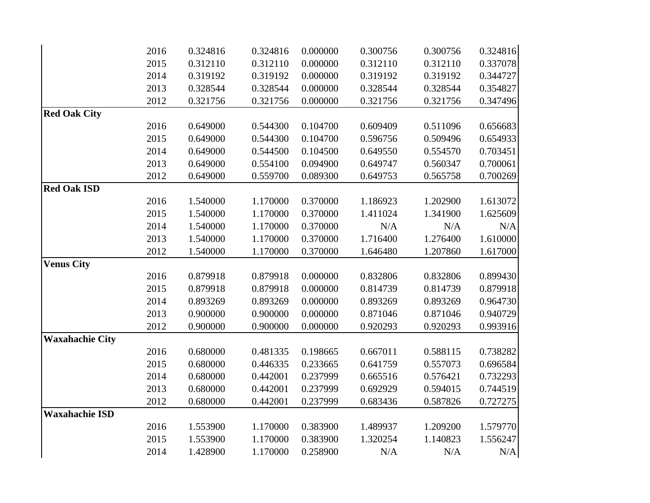|                        | 2016 | 0.324816 | 0.324816 | 0.000000 | 0.300756 | 0.300756 | 0.324816 |
|------------------------|------|----------|----------|----------|----------|----------|----------|
|                        | 2015 | 0.312110 | 0.312110 | 0.000000 | 0.312110 | 0.312110 | 0.337078 |
|                        | 2014 | 0.319192 | 0.319192 | 0.000000 | 0.319192 | 0.319192 | 0.344727 |
|                        | 2013 | 0.328544 | 0.328544 | 0.000000 | 0.328544 | 0.328544 | 0.354827 |
|                        | 2012 | 0.321756 | 0.321756 | 0.000000 | 0.321756 | 0.321756 | 0.347496 |
| <b>Red Oak City</b>    |      |          |          |          |          |          |          |
|                        | 2016 | 0.649000 | 0.544300 | 0.104700 | 0.609409 | 0.511096 | 0.656683 |
|                        | 2015 | 0.649000 | 0.544300 | 0.104700 | 0.596756 | 0.509496 | 0.654933 |
|                        | 2014 | 0.649000 | 0.544500 | 0.104500 | 0.649550 | 0.554570 | 0.703451 |
|                        | 2013 | 0.649000 | 0.554100 | 0.094900 | 0.649747 | 0.560347 | 0.700061 |
|                        | 2012 | 0.649000 | 0.559700 | 0.089300 | 0.649753 | 0.565758 | 0.700269 |
| <b>Red Oak ISD</b>     |      |          |          |          |          |          |          |
|                        | 2016 | 1.540000 | 1.170000 | 0.370000 | 1.186923 | 1.202900 | 1.613072 |
|                        | 2015 | 1.540000 | 1.170000 | 0.370000 | 1.411024 | 1.341900 | 1.625609 |
|                        | 2014 | 1.540000 | 1.170000 | 0.370000 | N/A      | N/A      | N/A      |
|                        | 2013 | 1.540000 | 1.170000 | 0.370000 | 1.716400 | 1.276400 | 1.610000 |
|                        | 2012 | 1.540000 | 1.170000 | 0.370000 | 1.646480 | 1.207860 | 1.617000 |
| <b>Venus City</b>      |      |          |          |          |          |          |          |
|                        | 2016 | 0.879918 | 0.879918 | 0.000000 | 0.832806 | 0.832806 | 0.899430 |
|                        | 2015 | 0.879918 | 0.879918 | 0.000000 | 0.814739 | 0.814739 | 0.879918 |
|                        | 2014 | 0.893269 | 0.893269 | 0.000000 | 0.893269 | 0.893269 | 0.964730 |
|                        | 2013 | 0.900000 | 0.900000 | 0.000000 | 0.871046 | 0.871046 | 0.940729 |
|                        | 2012 | 0.900000 | 0.900000 | 0.000000 | 0.920293 | 0.920293 | 0.993916 |
| <b>Waxahachie City</b> |      |          |          |          |          |          |          |
|                        | 2016 | 0.680000 | 0.481335 | 0.198665 | 0.667011 | 0.588115 | 0.738282 |
|                        | 2015 | 0.680000 | 0.446335 | 0.233665 | 0.641759 | 0.557073 | 0.696584 |
|                        | 2014 | 0.680000 | 0.442001 | 0.237999 | 0.665516 | 0.576421 | 0.732293 |
|                        | 2013 | 0.680000 | 0.442001 | 0.237999 | 0.692929 | 0.594015 | 0.744519 |
|                        | 2012 | 0.680000 | 0.442001 | 0.237999 | 0.683436 | 0.587826 | 0.727275 |
| <b>Waxahachie ISD</b>  |      |          |          |          |          |          |          |
|                        | 2016 | 1.553900 | 1.170000 | 0.383900 | 1.489937 | 1.209200 | 1.579770 |
|                        | 2015 | 1.553900 | 1.170000 | 0.383900 | 1.320254 | 1.140823 | 1.556247 |
|                        | 2014 | 1.428900 | 1.170000 | 0.258900 | N/A      | N/A      | N/A      |
|                        |      |          |          |          |          |          |          |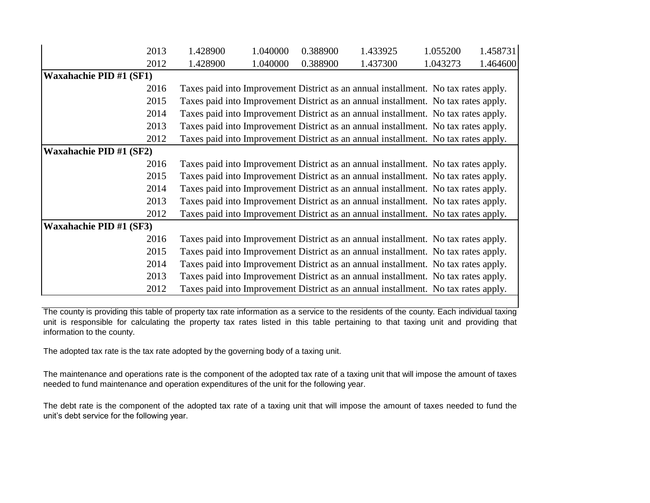| 2013                           | 1.428900 | 1.040000 | 0.388900 | 1.433925                                                                           | 1.055200 | 1.458731 |
|--------------------------------|----------|----------|----------|------------------------------------------------------------------------------------|----------|----------|
| 2012                           | 1.428900 | 1.040000 | 0.388900 | 1.437300                                                                           | 1.043273 | 1.464600 |
| <b>Waxahachie PID #1 (SF1)</b> |          |          |          |                                                                                    |          |          |
| 2016                           |          |          |          | Taxes paid into Improvement District as an annual installment. No tax rates apply. |          |          |
| 2015                           |          |          |          | Taxes paid into Improvement District as an annual installment. No tax rates apply. |          |          |
| 2014                           |          |          |          | Taxes paid into Improvement District as an annual installment. No tax rates apply. |          |          |
| 2013                           |          |          |          | Taxes paid into Improvement District as an annual installment. No tax rates apply. |          |          |
| 2012                           |          |          |          | Taxes paid into Improvement District as an annual installment. No tax rates apply. |          |          |
| <b>Waxahachie PID #1 (SF2)</b> |          |          |          |                                                                                    |          |          |
| 2016                           |          |          |          | Taxes paid into Improvement District as an annual installment. No tax rates apply. |          |          |
| 2015                           |          |          |          | Taxes paid into Improvement District as an annual installment. No tax rates apply. |          |          |
| 2014                           |          |          |          | Taxes paid into Improvement District as an annual installment. No tax rates apply. |          |          |
| 2013                           |          |          |          | Taxes paid into Improvement District as an annual installment. No tax rates apply. |          |          |
| 2012                           |          |          |          | Taxes paid into Improvement District as an annual installment. No tax rates apply. |          |          |
| <b>Waxahachie PID #1 (SF3)</b> |          |          |          |                                                                                    |          |          |
| 2016                           |          |          |          | Taxes paid into Improvement District as an annual installment. No tax rates apply. |          |          |
| 2015                           |          |          |          | Taxes paid into Improvement District as an annual installment. No tax rates apply. |          |          |
| 2014                           |          |          |          | Taxes paid into Improvement District as an annual installment. No tax rates apply. |          |          |
| 2013                           |          |          |          | Taxes paid into Improvement District as an annual installment. No tax rates apply. |          |          |
| 2012                           |          |          |          | Taxes paid into Improvement District as an annual installment. No tax rates apply. |          |          |

The county is providing this table of property tax rate information as a service to the residents of the county. Each individual taxing unit is responsible for calculating the property tax rates listed in this table pertaining to that taxing unit and providing that information to the county.

The adopted tax rate is the tax rate adopted by the governing body of a taxing unit.

The maintenance and operations rate is the component of the adopted tax rate of a taxing unit that will impose the amount of taxes needed to fund maintenance and operation expenditures of the unit for the following year.

The debt rate is the component of the adopted tax rate of a taxing unit that will impose the amount of taxes needed to fund the unit's debt service for the following year.